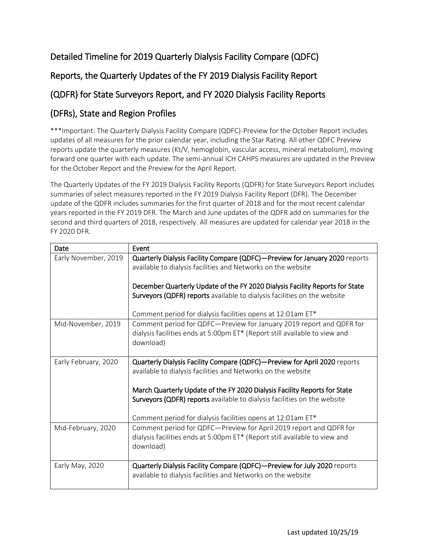## Detailed Timeline for 2019 Quarterly Dialysis Facility Compare (QDFC)

## Reports, the Quarterly Updates of the FY 2019 Dialysis Facility Report

## (QDFR) for State Surveyors Report, and FY 2020 Dialysis Facility Reports

## (DFRs), State and Region Profiles

\*\*\*Important: The Quarterly Dialysis Facility Compare (QDFC)-Preview for the October Report includes updates of all measures for the prior calendar year, including the Star Rating. All other QDFC Preview reports update the quarterly measures (Kt/V, hemoglobin, vascular access, mineral metabolism), moving forward one quarter with each update. The semi-annual ICH CAHPS measures are updated in the Preview for the October Report and the Preview for the April Report.

The Quarterly Updates of the FY 2019 Dialysis Facility Reports (QDFR) for State Surveyors Report includes summaries of select measures reported in the FY 2019 Dialysis Facility Report (DFR). The December update of the QDFR includes summaries for the first quarter of 2018 and for the most recent calendar years reported in the FY 2019 DFR. The March and June updates of the QDFR add on summaries for the second and third quarters of 2018, respectively. All measures are updated for calendar year 2018 in the FY 2020 DFR.

| Date                 | Event                                                                        |
|----------------------|------------------------------------------------------------------------------|
| Early November, 2019 | Quarterly Dialysis Facility Compare (QDFC)-Preview for January 2020 reports  |
|                      | available to dialysis facilities and Networks on the website                 |
|                      |                                                                              |
|                      | December Quarterly Update of the FY 2020 Dialysis Facility Reports for State |
|                      | Surveyors (QDFR) reports available to dialysis facilities on the website     |
|                      | Comment period for dialysis facilities opens at 12:01am ET*                  |
| Mid-November, 2019   | Comment period for QDFC-Preview for January 2019 report and QDFR for         |
|                      | dialysis facilities ends at 5:00pm ET* (Report still available to view and   |
|                      | download)                                                                    |
|                      |                                                                              |
| Early February, 2020 | Quarterly Dialysis Facility Compare (QDFC)-Preview for April 2020 reports    |
|                      | available to dialysis facilities and Networks on the website                 |
|                      |                                                                              |
|                      | March Quarterly Update of the FY 2020 Dialysis Facility Reports for State    |
|                      | Surveyors (QDFR) reports available to dialysis facilities on the website     |
|                      | Comment period for dialysis facilities opens at 12:01am ET*                  |
| Mid-February, 2020   | Comment period for QDFC-Preview for April 2019 report and QDFR for           |
|                      | dialysis facilities ends at 5:00pm ET* (Report still available to view and   |
|                      | download)                                                                    |
|                      |                                                                              |
| Early May, 2020      | Quarterly Dialysis Facility Compare (QDFC)-Preview for July 2020 reports     |
|                      | available to dialysis facilities and Networks on the website                 |
|                      |                                                                              |